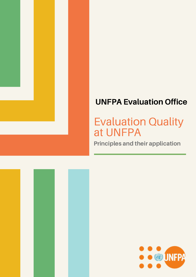

# UNFPA Evaluation Office

# Evaluation Quality at UNFPA

Principles and their application



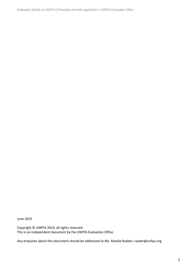Evaluation Quality at UNFPA | Principles and their application | UNFPA Evaluation Office

June 2019

Copyright © UNFPA 2019, all rights reserved. This is an independent document by the UNFPA Evaluation Office.

Any enquiries about this document should be addressed to Ms. Natalie Raaber, raaber@unfpa.org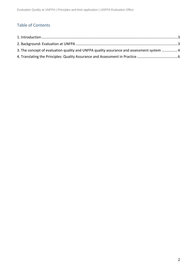### Table of Contents

| 3. The concept of evaluation quality and UNFPA quality assurance and assessment system 4 |  |
|------------------------------------------------------------------------------------------|--|
|                                                                                          |  |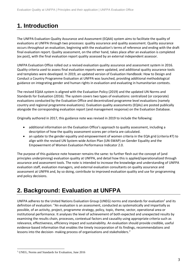## <span id="page-3-0"></span>**1. Introduction**

The UNFPA Evaluation Quality Assurance and Assessment (EQAA) system aims to facilitate the quality of evaluations at UNFPA through two processes: quality assurance and quality assessment. Quality assurance occurs *throughout* an evaluation, beginning with the evaluation's terms of reference and ending with the draft final evaluation report. Quality assessment, on the other hand, takes place after an evaluation is completed (ex post), with the final evaluation report quality assessed by an external independent assessor.

UNFPA Evaluation Office rolled out a revised evaluation quality assurance and assessment system in 2016. Quality criteria used to assess final evaluation reports were updated, and additional quality assurance tools and templates were developed. In 2019, an updated version of Evaluation Handbook: How to Design and Conduct a Country Programme Evaluation at UNFPA was launched, providing additional methodological guidance on integrating gender and human rights in evaluation and evaluating in humanitarian contexts.

The revised EQAA system is aligned with the Evaluation Policy (2019) and the updated UN Norms and Standards for Evaluation (2016). The system covers two types of evaluations: centralized (or corporate) evaluations conducted by the Evaluation Office and decentralized programme level evaluations (namely country and regional programme evaluations). Evaluation quality assessments (EQAs) are posted publically alongside the corresponding evaluation report (and management response) on the Evaluation Database.

Originally authored in 2017, this guidance note was revised in 2019 to include the following:

- additional information on the Evaluation Office's approach to quality assessment, including a description of how the quality assessment scores per criteria are calculated.
- an update to the gender equality and empowerment of women criteria in the EQA grid (criteria #7) to align with the revised UN System-wide Action Plan (UN-SWAP) on Gender Equality and the Empowerment of Women Evaluation Performance Indicator 2.0.

The purpose of this guidance note however remains the same: to further flesh out the concept of (and principles underpinning) evaluation quality at UNFPA, and detail how this is applied/operationalized through assurance and assessment tools. The note is intended to increase the knowledge and understanding of UNFPA evaluation staff, evaluation managers, and external evaluation consultants on quality assurance and assessment at UNFPA and, by so doing, contribute to improved evaluation quality and use for programming and policy decisions.

## <span id="page-3-1"></span>**2. Background: Evaluation at UNFPA**

UNFPA adheres to the United Nations Evaluation Group (UNEG) norms and standards for evaluation<sup>1</sup> and its definition of evaluation: "An evaluation is an assessment, conducted as systematically and impartially as possible, of an activity, project, programme strategy, policy, topic, theme, sector, operational area or institutional performance. It analyses the level of achievement of both expected and unexpected results by examining the results chain, processes, contextual factors and causality using appropriate criteria such as relevance, effectiveness, efficiency impact and sustainability. An evaluation should provide credible, useful evidence-based information that enables the timely incorporation of its findings, recommendations and lessons into the decision- making process of organisations and stakeholders."

 $\overline{a}$ <sup>1</sup> UNEG, Norms and Standards for Evaluation, June 2016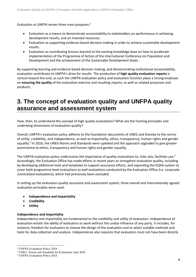Evaluation at UNFPA serves three main purposes: 2

- Evaluation as a means to demonstrate accountability to stakeholders on performance in achieving development results, and on invested resources.
- Evaluation as supporting evidence-based decision making in order to achieve sustainable development results.
- Evaluation as contributing lessons learned to the existing knowledge base on how to accelerate implementation of the Programme of Action of the International Conference on Population and Development and the achievement of the Sustainable Development Goals.

By supporting learning and evidence based decision-making, and demonstrating institutional accountability, evaluation contributes to UNFPA's drive for results. The production of **high quality evaluation reports** is central toward this end; as such the UNFPA evaluation policy and evaluation function place a strong emphasis on **ensuring the quality** of the evaluation exercise and resulting reports, as well as related processes and products.

### <span id="page-4-0"></span>**3. The concept of evaluation quality and UNFPA quality assurance and assessment system**

How, then, to understand the concept of high quality evaluations? What are the framing principles and underlying dimensions of evaluation quality?

Overall, UNFPA's evaluation policy adheres to the foundation documents of UNEG and thereby to the norms of utility, credibility, and independence, as well as impartiality, ethics, transparency, human rights and gender equality.<sup>3</sup> In 2016, the UNEG Norms and Standards were updated and the approach upgraded to give greater prominence to ethics, transparency and human rights and gender equality.

The UNFPA evaluation policy underscores the importance of quality evaluations to, inter alia, facilitate use.<sup>4</sup> Accordingly, the Evaluation Office has made efforts in recent years to strengthen evaluation quality, including by developing additional tools and templates to support assurance efforts, and expanding the EQAA system to cover both programme-level evaluations as well evaluations conducted by the Evaluation Office (i.e. corporate /centralized evaluations), which had previously been excluded.

In setting up the evaluation quality assurance and assessment system, three overall and internationally agreed evaluation principles were used:

- **Independence and Impartiality**
- **Credibility**
- **Utility**

#### **Independence and Impartiality**

Independence and impartiality are fundamental to the credibility and utility of evaluation. Independence of evaluation entails the ability of evaluators to work without the undue influence of any party. It includes, for instance, freedom for evaluators to choose the design of the evaluation and to select suitable methods and tools for data collection and analysis. Independence also requires that evaluators must not have been directly

 $\overline{a}$ 

<sup>2</sup> UNFPA Evaluation Policy 2019

<sup>3</sup> UNEG, Norms and Standards for Evaluation, June 2016

<sup>4</sup> UNFPA Evaluation Policy 2019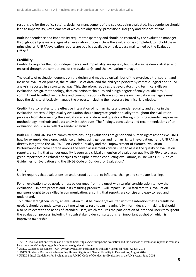responsible for the policy setting, design or management of the subject being evaluated. Independence should lead to impartiality, key elements of which are objectivity, professional integrity and absence of bias.

Both independence and impartiality require transparency and should be ensured by the evaluation manager throughout all phases or stages of an evaluation process. Once the evaluation is completed, to uphold these principles, all UNFPA evaluation reports are publicly available on a database maintained by the Evaluation Office.<sup>5</sup>

#### **Credibility**

Credibility requires that both independence and impartiality are upheld, but must also be demonstrated and ensured through the competence of the evaluator(s) and the evaluation manager.

The quality of evaluation depends on the design and methodological rigor of the exercise, a transparent and inclusive evaluation process, the reliable use of data, and the ability to perform systematic, logical and sound analysis, reported in a structured way. This, therefore, requires that evaluators hold technical skills on evaluation design, methodology, data collection techniques and a high degree of analytical abilities. A commitment to reflective practice and communication skills are also necessary. Evaluation managers must have the skills to effectively manage the process, including the necessary technical knowledge.

Credibility also relates to the effective integration of human rights and gender equality and ethics in the evaluation process. A high quality evaluation should integrate gender equality throughout the evaluation process - from determining the evaluation scope, criteria and questions through to using a gender responsive methodology, methods and data analysis techniques. The findings, conclusions and recommendations of an evaluation should also reflect a gender analysis.<sup>6</sup>

Both UNEG and UNFPA are committed to ensuring evaluations are gender and human rights responsive. UNEG has, for example, developed guidance on integrating gender and human rights in evaluation, <sup>7</sup> and UNFPA has directly integrated the UN-SWAP on Gender Equality and the Empowerment of Women Evaluation Performance Indicator criteria among the seven assessment criteria used to assess the quality of evaluation reports, ensuring that gender equality is seen as a critical dimension of evaluation quality. UNFPA also places great importance on ethical principles to be upheld when conducting evaluations, in line with UNEG Ethical Guidelines for Evaluation and the UNEG Code of Conduct for Evaluation.<sup>8</sup>

#### **Utility**

 $\overline{a}$ 

Utility requires that evaluations be understood as a tool to influence change and stimulate learning.

For an evaluation to be used, it must be designed from the onset with careful consideration to how the evaluation – in both process and in its resulting products – will impact use. To facilitate this, evaluation managers ought to be skilled in communication, ensuring that reports are concise and easy to read and understand.

To further strengthen utility, an evaluation must be planned/executed with the intention that its results be used. It should be undertaken at a time when its results can meaningfully inform decision-making. It should also be relevant to the needs of intended users, which requires the participation of intended users throughout the evaluation process, including through stakeholder consultations (an important upshot of which is improved ownership).

<sup>5</sup>The UNFPA Evaluation website can be found here: https://www.unfpa.org/evaluation and the database of evaluation reports is available here: https://web2.unfpa.org/public/about/oversight/evaluations/

<sup>6</sup> UNEG Guidance Document – UN-SWAP Evaluation Performance Indicator Technical Note, August 2014

<sup>7</sup> UNEG Guidance Document – Integrating Human Rights and Gender Equality in Evaluations, August 2014

<sup>8</sup> UNEG Ethical Guidelines for Evaluation and UNEG Code of Conduct for Evaluation in the UN system, June 2008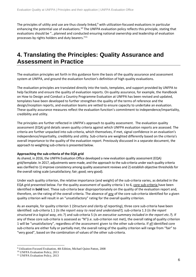The principles of utility and use are thus closely linked, $9$  with utilization-focused evaluations in particular enhancing the potential use of evaluations.<sup>10</sup> The UNFPA evaluation policy reflects this principle, stating that evaluations should be "…planned and conducted ensuring national ownership and leadership of evaluation processes by rights holders and duty bearers."<sup>11</sup>

### <span id="page-6-0"></span>**4. Translating the Principles: Quality Assurance and Assessment in Practice**

The evaluation principles set forth in this guidance form the basis of the quality assurance and assessment system at UNFPA, and ground the evaluation function's definition of high quality evaluations.

The evaluation principles are translated directly into the tools, templates, and support provided by UNFPA to help facilitate and ensure the quality of evaluation reports. On quality assurance, for example, the Handbook on How to Design and Conduct a Country Programme Evaluation at UNFPA has been revised and updated, templates have been developed to further strengthen the quality of the terms of reference and the design/inception reports, and evaluation teams are vetted to ensure capacity to undertake an evaluation. These quality assurance measures reflect the evaluation function's commitment to independence/impartiality, credibility and utility.

The principles are further reflected in UNFPA's approach to quality assessment. The evaluation quality assessment (EQA) grid details seven quality criteria against which UNFPA evaluation reports are assessed. The criteria are further unpacked into sub-criteria, which themselves, if met, signal confidence in an evaluation's independence/impartiality, credibility and utility. Sub-criteria are weighted differently based on the criteria's overall importance to the quality of the evaluation report. Previously discussed in a separate document, the approach to weighting sub-criteria is presented below.

#### **Approaching the sub-criteria of the EQA grid**

As shared, in 2016, the UNFPA Evaluation Office developed a new evaluation quality assessment (EQA) grid/template. In 2017, adjustments were made, and the approach to the sub-criteria under each quality criteria was clarified to 1) improve consistency among quality assessment reviews and 2) establish objective thresholds for the overall rating scale (unsatisfactory; fair; good; very good).

Under each quality criterion, the relative importance (and weight) of the sub-criteria varies, as detailed in the EQA grid presented below. For the quality assessment of quality criteria 1 to 6, core sub-criteria have been identified in **bold** text. These sub-criteria bear disproportionately on the quality of the evaluation report and, therefore, on the rating of the overall criteria. The absence of any of the core sub-criteria identified for a given quality criterion will result in an "unsatisfactory" rating for the overall quality criterion.

As an example, for quality criterion 1 (*Structure and clarity of reporting*), three core sub-criteria have been identified: sub-criteria 1.1 (*Is the report easy to read and understand?),* sub-criteria 1.3 (*Is the report structured in a logical way, etc.*?) and sub-criteria 5 (*Is an executive summary included in the report etc.?*). If any of these core sub-criteria is assessed as "N"(i.e. sub-criterion not met), the overall rating of quality criterion 1 will be "unsatisfactory", regardless of the assessment given to the other sub-criteria. If all identified core sub-criteria are either fully or partially met, the overall rating of the quality criterion will range from "fair" to "very good", based on the combination of values of the other sub-criteria.

 $\overline{a}$ 

<sup>9</sup> Utilization-Focused Evaluation, 4th Edition, Michael Quinn Patton, 2008

<sup>10</sup> UNFPA Evaluation Policy, 2013

<sup>&</sup>lt;sup>11</sup> UNFPA Evaluation Policy, 2013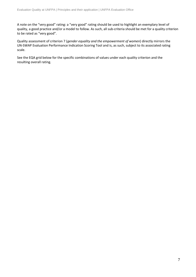A note on the "very good" rating: a "very good" rating should be used to highlight an exemplary level of quality, a good practice and/or a model to follow. As such, all sub-criteria should be met for a quality criterion to be rated as "very good".

Quality assessment of criterion 7 (*gender equality and the empowerment of women*) directly mirrors the UN-SWAP Evaluation Performance Indication Scoring Tool and is, as such, subject to its associated rating scale.

See the EQA grid below for the specific combinations of values under each quality criterion and the resulting overall rating.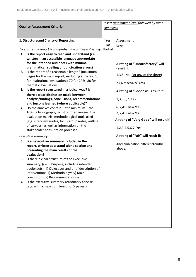| <b>Quality Assessment Criteria</b>                                                                                                                                                                                                                                                                                                                                                                                                                                                                                                                                                                                                                                                                                                                                                                                                                                                                | Insert assessment level followed by main<br>comments |                                                                                                                             |                                                                                                                                                        |
|---------------------------------------------------------------------------------------------------------------------------------------------------------------------------------------------------------------------------------------------------------------------------------------------------------------------------------------------------------------------------------------------------------------------------------------------------------------------------------------------------------------------------------------------------------------------------------------------------------------------------------------------------------------------------------------------------------------------------------------------------------------------------------------------------------------------------------------------------------------------------------------------------|------------------------------------------------------|-----------------------------------------------------------------------------------------------------------------------------|--------------------------------------------------------------------------------------------------------------------------------------------------------|
| 1. Structure and Clarity of Reporting<br>To ensure the report is comprehensive and user-friendly                                                                                                                                                                                                                                                                                                                                                                                                                                                                                                                                                                                                                                                                                                                                                                                                  | Yes<br>No<br>Partial                                 | Assessment<br>Level:                                                                                                        |                                                                                                                                                        |
| Is the report easy to read and understand (i.e.<br>1.<br>written in an accessible language appropriate<br>for the intended audience) with minimal<br>grammatical, spelling or punctuation errors?<br>Is the report of a reasonable length? (maximum<br>2.<br>pages for the main report, excluding annexes: 60<br>for institutional evaluations; 70 for CPEs; 80 for<br>thematic evaluations)<br>Is the report structured in a logical way? Is<br>3.<br>there a clear distinction made between<br>analysis/findings, conclusions, recommendations<br>and lessons learned (where applicable)?<br>Do the annexes contain $-$ at a minimum $-$ the<br>4.<br>ToRs; a bibliography; a list of interviewees; the<br>evaluation matrix; methodological tools used<br>(e.g. interview guides; focus group notes, outline<br>of surveys) as well as information on the<br>stakeholder consultation process? |                                                      | result if:<br>2,4,6,7: Yes/No/Partial<br>1,3,5,6,7: Yes<br>6, 2,4: Partial/Yes<br>7, 2,4: Partial/Yes<br>1,2,3,4.5,6,7: Yes | A rating of "Unsatisfactory" will<br>1,3,5: No (For any of the three)<br>A rating of "Good" will result if:<br>A rating of "Very Good" will result if: |
| Executive summary<br>Is an executive summary included in the<br>5.<br>report, written as a stand-alone section and<br>presenting the main results of the<br>evaluation?                                                                                                                                                                                                                                                                                                                                                                                                                                                                                                                                                                                                                                                                                                                           |                                                      | above.                                                                                                                      | A rating of "Fair" will result if:<br>Any combination different fom the                                                                                |
| Is there a clear structure of the executive<br>6.<br>summary, (i.e. i) Purpose, including intended<br>audience(s); ii) Objectives and brief description of<br>intervention; iii) Methodology; iv) Main<br>conclusions; v) Recommendations)?                                                                                                                                                                                                                                                                                                                                                                                                                                                                                                                                                                                                                                                       |                                                      |                                                                                                                             |                                                                                                                                                        |
| Is the executive summary reasonably concise<br>7.<br>(e.g. with a maximum length of 5 pages)?                                                                                                                                                                                                                                                                                                                                                                                                                                                                                                                                                                                                                                                                                                                                                                                                     |                                                      |                                                                                                                             |                                                                                                                                                        |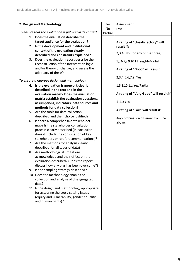| 2. Design and Methodology<br>Assessment<br>Yes                                                         |  |
|--------------------------------------------------------------------------------------------------------|--|
| No<br>Level:                                                                                           |  |
| To ensure that the evaluation is put within its context<br>Partial                                     |  |
| 1. Does the evaluation describe the                                                                    |  |
| target audience for the evaluation?<br>A rating of "Unsatisfactory" will                               |  |
| 2. Is the development and institutional<br>result if:                                                  |  |
| context of the evaluation clearly                                                                      |  |
| 2,3,4: No (for any of the three)<br>described and constraints explained?                               |  |
| Does the evaluation report describe the<br>3.<br>1,5,6,7,8,9,10,11: Yes/No/Partial                     |  |
| reconstruction of the intervention logic                                                               |  |
| and/or theory of change, and assess the<br>A rating of "Good" will result if:                          |  |
| adequacy of these?                                                                                     |  |
| 2,3,4,5,6,7,9: Yes<br>To ensure a rigorous design and methodology                                      |  |
|                                                                                                        |  |
| 4. Is the evaluation framework clearly<br>1,6,8,10,11: Yes/Partial<br>described in the text and in the |  |
| A rating of "Very Good" will result if:<br>evaluation matrix? Does the evaluation                      |  |
| matrix establish the evaluation questions,                                                             |  |
| 1-11: Yes<br>assumptions, indicators, data sources and                                                 |  |
| methods for data collection?                                                                           |  |
| A rating of "Fair" will result if:<br>5. Are the tools for data collection                             |  |
| described and their choice justified?                                                                  |  |
| Any combination different from the<br>Is there a comprehensive stakeholder<br>6.                       |  |
| above.<br>map? Is the stakeholder consultation                                                         |  |
| process clearly described (in particular,                                                              |  |
| does it include the consultation of key                                                                |  |
| stakeholders on draft recommendations)?                                                                |  |
| 7. Are the methods for analysis clearly                                                                |  |
| described for all types of data?                                                                       |  |
| Are methodological limitations<br>8.                                                                   |  |
| acknowledged and their effect on the                                                                   |  |
| evaluation described? (Does the report                                                                 |  |
| discuss how any bias has been overcome?)                                                               |  |
| Is the sampling strategy described?<br>9.                                                              |  |
| 10. Does the methodology enable the                                                                    |  |
| collection and analysis of disaggregated                                                               |  |
| data?                                                                                                  |  |
| 11. Is the design and methodology appropriate                                                          |  |
| for assessing the cross-cutting issues                                                                 |  |
| (equity and vulnerability, gender equality                                                             |  |
| and human rights)?                                                                                     |  |
|                                                                                                        |  |
|                                                                                                        |  |
|                                                                                                        |  |
|                                                                                                        |  |
|                                                                                                        |  |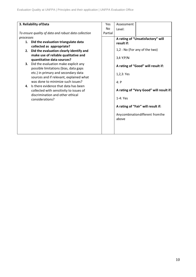| 3. Reliability of Data                               |                                                                                                                                                                                                                                                                                                                                                                                                                                                                                                                                        | Yes     | Assessment                                                            |                                                                                                                                                                                                                                |
|------------------------------------------------------|----------------------------------------------------------------------------------------------------------------------------------------------------------------------------------------------------------------------------------------------------------------------------------------------------------------------------------------------------------------------------------------------------------------------------------------------------------------------------------------------------------------------------------------|---------|-----------------------------------------------------------------------|--------------------------------------------------------------------------------------------------------------------------------------------------------------------------------------------------------------------------------|
|                                                      |                                                                                                                                                                                                                                                                                                                                                                                                                                                                                                                                        | No      | Level:                                                                |                                                                                                                                                                                                                                |
| To ensure quality of data and robust data collection |                                                                                                                                                                                                                                                                                                                                                                                                                                                                                                                                        | Partial |                                                                       |                                                                                                                                                                                                                                |
| processes<br>2.<br>3.<br>4.                          | 1. Did the evaluation triangulate data<br>collected as appropriate?<br>Did the evaluation clearly identify and<br>make use of reliable qualitative and<br>quantitative data sources?<br>Did the evaluation make explicit any<br>possible limitations (bias, data gaps<br>etc.) in primary and secondary data<br>sources and if relevant, explained what<br>was done to minimize such issues?<br>Is there evidence that data has been<br>collected with sensitivity to issues of<br>discrimination and other ethical<br>considerations? |         | result if:<br>3,4:Y/P/N<br>1,2,3: Yes<br>4: P<br>$1-4$ : Yes<br>above | A rating of "Unsatisfactory" will<br>1,2 : No (For any of the two)<br>A rating of "Good" will result if:<br>A rating of "Very Good" will result if:<br>A rating of "Fair" will result if:<br>Anycombination different from the |
|                                                      |                                                                                                                                                                                                                                                                                                                                                                                                                                                                                                                                        |         |                                                                       |                                                                                                                                                                                                                                |
|                                                      |                                                                                                                                                                                                                                                                                                                                                                                                                                                                                                                                        |         |                                                                       |                                                                                                                                                                                                                                |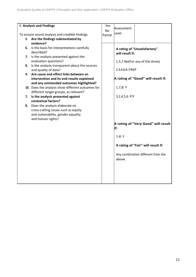|    | 4. Analysis and Findings                          | Yes     | Assessment         |                                     |
|----|---------------------------------------------------|---------|--------------------|-------------------------------------|
|    |                                                   | No      |                    |                                     |
|    | To ensure sound analysis and credible findings    | Partial | Level:             |                                     |
|    | 5. Are the findings substantiated by              |         |                    |                                     |
|    | evidence?                                         |         |                    |                                     |
| 6. | Is the basis for interpretations carefully        |         |                    |                                     |
|    | described?                                        |         |                    | A rating of "Unsatisfactory"        |
|    |                                                   |         | will result if:    |                                     |
|    | 7. Is the analysis presented against the          |         |                    |                                     |
|    | evaluation questions?                             |         |                    | 1,5,7:No(For any of the three)      |
| 8. | Is the analysis transparent about the sources     |         |                    |                                     |
|    | and quality of data?                              |         | 2,3,4,6,8; Y/N/P   |                                     |
|    | 9. Are cause and effect links between an          |         |                    |                                     |
|    | intervention and its end results explained        |         |                    | A rating of "Good" will result if:  |
|    | and any unintended outcomes highlighted?          |         |                    |                                     |
|    | 10. Does the analysis show different outcomes for |         | 1,7,8:Y            |                                     |
|    | different target groups, as relevant?             |         |                    |                                     |
| 7. | Is the analysis presented against                 |         | 3, 2, 4, 5, 6: P/Y |                                     |
|    |                                                   |         |                    |                                     |
|    | contextual factors?                               |         |                    |                                     |
| 8. | Does the analysis elaborate on                    |         |                    |                                     |
|    | cross-cutting issues such as equity               |         |                    |                                     |
|    | and vulnerability, gender equality                |         |                    |                                     |
|    | and human rights?                                 |         |                    |                                     |
|    |                                                   |         |                    | A rating of "Very Good" will result |
|    |                                                   |         | if:                |                                     |
|    |                                                   |         |                    |                                     |
|    |                                                   |         | $1-8:Y$            |                                     |
|    |                                                   |         |                    |                                     |
|    |                                                   |         |                    | A rating of "Fair" will result if:  |
|    |                                                   |         |                    |                                     |
|    |                                                   |         |                    |                                     |
|    |                                                   |         |                    | Any combination different from the  |
|    |                                                   |         | above.             |                                     |
|    |                                                   |         |                    |                                     |
|    |                                                   |         |                    |                                     |
|    |                                                   |         |                    |                                     |
|    |                                                   |         |                    |                                     |
|    |                                                   |         |                    |                                     |
|    |                                                   |         |                    |                                     |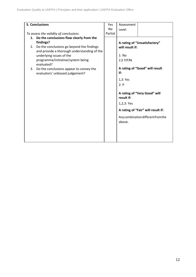| <b>5. Conclusions</b>                                                                                                                                                                                                                                                                                                            |         | Assessment                                                                                            |                                                                                                                                                                            |
|----------------------------------------------------------------------------------------------------------------------------------------------------------------------------------------------------------------------------------------------------------------------------------------------------------------------------------|---------|-------------------------------------------------------------------------------------------------------|----------------------------------------------------------------------------------------------------------------------------------------------------------------------------|
|                                                                                                                                                                                                                                                                                                                                  | No      | Level:                                                                                                |                                                                                                                                                                            |
| To assess the validity of conclusions                                                                                                                                                                                                                                                                                            | Partial |                                                                                                       |                                                                                                                                                                            |
| Do the conclusions flow clearly from the<br>1.<br>findings?<br>Do the conclusions go beyond the findings<br>2.<br>and provide a thorough understanding of the<br>underlying issues of the<br>programme/initiative/system being<br>evaluated?<br>Do the conclusions appear to convey the<br>3.<br>evaluators' unbiased judgement? |         | will result if:<br>1: No<br>2,3:Y/P/N<br>if:<br>1,3:Yes<br>2: P<br>result if:<br>1,2,3: Yes<br>above. | A rating of "Unsatisfactory"<br>A rating of "Good" will result<br>A rating of "Very Good" will<br>A rating of "Fair" will result if:<br>Any combination different from the |
|                                                                                                                                                                                                                                                                                                                                  |         |                                                                                                       |                                                                                                                                                                            |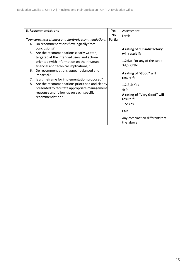| <b>6. Recommendations</b>                                                                                                                                                                                                                                                                                                                                                                                                                                                                                                                  |               | Assessment                                                                                                                             |                                                                                                                              |
|--------------------------------------------------------------------------------------------------------------------------------------------------------------------------------------------------------------------------------------------------------------------------------------------------------------------------------------------------------------------------------------------------------------------------------------------------------------------------------------------------------------------------------------------|---------------|----------------------------------------------------------------------------------------------------------------------------------------|------------------------------------------------------------------------------------------------------------------------------|
| To ensure the usefulness and clarity of recommendations                                                                                                                                                                                                                                                                                                                                                                                                                                                                                    | Nο<br>Partial | Level:                                                                                                                                 |                                                                                                                              |
| 4. Do recommendations flow logically from<br>conclusions?<br>5. Are the recommendations clearly written,<br>targeted at the intended users and action-<br>oriented (with information on their human,<br>financial and technical implications)?<br>Do recommendations appear balanced and<br>6.<br>impartial?<br>Is a timeframe for implementation proposed?<br>7.<br>Are the recommendations prioritised and clearly<br>8.<br>presented to facilitate appropriate management<br>response and follow up on each specific<br>recommendation? |               | will result if:<br>3,4,5:Y/P/N<br>A rating of "Good" will<br>result if:<br>1, 2, 3, 5: Yes<br>4: P<br>result if:<br>$1-5: Yes$<br>Fair | A rating of "Unsatisfactory"<br>1,2:No (For any of the two)<br>A rating of "Very Good" will<br>Any combination differentfrom |
|                                                                                                                                                                                                                                                                                                                                                                                                                                                                                                                                            |               | the above                                                                                                                              |                                                                                                                              |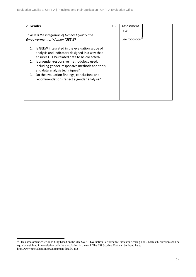| 7. Gender                                                                                                                                           | $0 - 3$ | Assessment                 |
|-----------------------------------------------------------------------------------------------------------------------------------------------------|---------|----------------------------|
| To assess the integration of Gender Equality and<br><b>Empowerment of Women (GEEW)</b>                                                              |         | Level:                     |
|                                                                                                                                                     |         | See footnote <sup>12</sup> |
| Is GEEW integrated in the evaluation scope of<br>1.<br>analysis and indicators designed in a way that<br>ensures GEEW-related data to be collected? |         |                            |
| Is a gender-responsive methodology used,<br>2.<br>including gender-responsive methods and tools,<br>and data analysis techniques?                   |         |                            |
| Do the evaluation findings, conclusions and<br>3.<br>recommendations reflect a gender analysis?                                                     |         |                            |
|                                                                                                                                                     |         |                            |

<sup>&</sup>lt;sup>12</sup> This assessment criterion is fully based on the UN-SWAP Evaluation Performance Indicator Scoring Tool. Each sub-criterion shall be equally weighted in correlation with the calculation in the tool. The EPI Scoring Tool can be found here: http://www.unevaluation.org/document/detail/1452